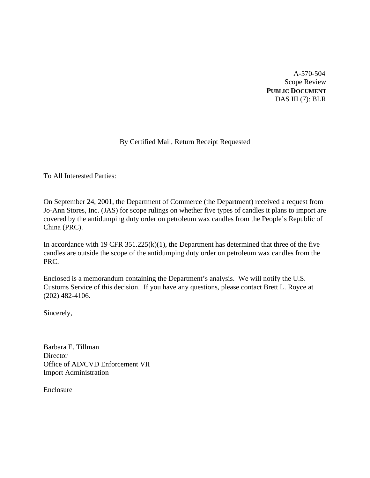A-570-504 Scope Review **PUBLIC DOCUMENT** DAS III (7): BLR

# By Certified Mail, Return Receipt Requested

To All Interested Parties:

On September 24, 2001, the Department of Commerce (the Department) received a request from Jo-Ann Stores, Inc. (JAS) for scope rulings on whether five types of candles it plans to import are covered by the antidumping duty order on petroleum wax candles from the People's Republic of China (PRC).

In accordance with 19 CFR  $351.225(k)(1)$ , the Department has determined that three of the five candles are outside the scope of the antidumping duty order on petroleum wax candles from the PRC.

Enclosed is a memorandum containing the Department's analysis. We will notify the U.S. Customs Service of this decision. If you have any questions, please contact Brett L. Royce at (202) 482-4106.

Sincerely,

Barbara E. Tillman **Director** Office of AD/CVD Enforcement VII Import Administration

Enclosure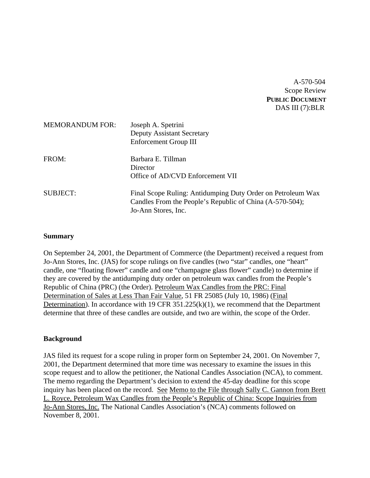# A-570-504 Scope Review **PUBLIC DOCUMENT** DAS III (7):BLR

| <b>MEMORANDUM FOR:</b> | Joseph A. Spetrini<br><b>Deputy Assistant Secretary</b><br>Enforcement Group III                                                               |
|------------------------|------------------------------------------------------------------------------------------------------------------------------------------------|
| FROM:                  | Barbara E. Tillman<br>Director<br>Office of AD/CVD Enforcement VII                                                                             |
| <b>SUBJECT:</b>        | Final Scope Ruling: Antidumping Duty Order on Petroleum Wax<br>Candles From the People's Republic of China (A-570-504);<br>Jo-Ann Stores, Inc. |

### **Summary**

On September 24, 2001, the Department of Commerce (the Department) received a request from Jo-Ann Stores, Inc. (JAS) for scope rulings on five candles (two "star" candles, one "heart" candle, one "floating flower" candle and one "champagne glass flower" candle) to determine if they are covered by the antidumping duty order on petroleum wax candles from the People's Republic of China (PRC) (the Order). Petroleum Wax Candles from the PRC: Final Determination of Sales at Less Than Fair Value, 51 FR 25085 (July 10, 1986) (Final Determination). In accordance with 19 CFR 351.225(k)(1), we recommend that the Department determine that three of these candles are outside, and two are within, the scope of the Order.

## **Background**

JAS filed its request for a scope ruling in proper form on September 24, 2001. On November 7, 2001, the Department determined that more time was necessary to examine the issues in this scope request and to allow the petitioner, the National Candles Association (NCA), to comment. The memo regarding the Department's decision to extend the 45-day deadline for this scope inquiry has been placed on the record. See Memo to the File through Sally C. Gannon from Brett L. Royce, Petroleum Wax Candles from the People's Republic of China: Scope Inquiries from Jo-Ann Stores, Inc. The National Candles Association's (NCA) comments followed on November 8, 2001.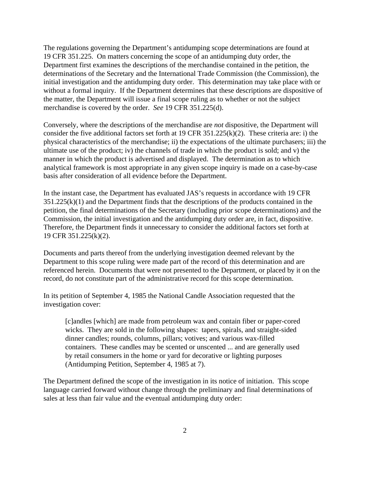The regulations governing the Department's antidumping scope determinations are found at 19 CFR 351.225. On matters concerning the scope of an antidumping duty order, the Department first examines the descriptions of the merchandise contained in the petition, the determinations of the Secretary and the International Trade Commission (the Commission), the initial investigation and the antidumping duty order. This determination may take place with or without a formal inquiry. If the Department determines that these descriptions are dispositive of the matter, the Department will issue a final scope ruling as to whether or not the subject merchandise is covered by the order. *See* 19 CFR 351.225(d).

Conversely, where the descriptions of the merchandise are *not* dispositive, the Department will consider the five additional factors set forth at 19 CFR 351.225(k)(2). These criteria are: i) the physical characteristics of the merchandise; ii) the expectations of the ultimate purchasers; iii) the ultimate use of the product; iv) the channels of trade in which the product is sold; and v) the manner in which the product is advertised and displayed. The determination as to which analytical framework is most appropriate in any given scope inquiry is made on a case-by-case basis after consideration of all evidence before the Department.

In the instant case, the Department has evaluated JAS's requests in accordance with 19 CFR  $351.225(k)(1)$  and the Department finds that the descriptions of the products contained in the petition, the final determinations of the Secretary (including prior scope determinations) and the Commission, the initial investigation and the antidumping duty order are, in fact, dispositive. Therefore, the Department finds it unnecessary to consider the additional factors set forth at 19 CFR 351.225(k)(2).

Documents and parts thereof from the underlying investigation deemed relevant by the Department to this scope ruling were made part of the record of this determination and are referenced herein. Documents that were not presented to the Department, or placed by it on the record, do not constitute part of the administrative record for this scope determination.

In its petition of September 4, 1985 the National Candle Association requested that the investigation cover:

[c]andles [which] are made from petroleum wax and contain fiber or paper-cored wicks. They are sold in the following shapes: tapers, spirals, and straight-sided dinner candles; rounds, columns, pillars; votives; and various wax-filled containers. These candles may be scented or unscented ... and are generally used by retail consumers in the home or yard for decorative or lighting purposes (Antidumping Petition, September 4, 1985 at 7).

The Department defined the scope of the investigation in its notice of initiation. This scope language carried forward without change through the preliminary and final determinations of sales at less than fair value and the eventual antidumping duty order: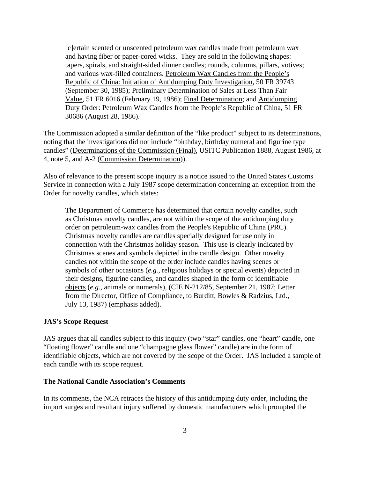[c]ertain scented or unscented petroleum wax candles made from petroleum wax and having fiber or paper-cored wicks. They are sold in the following shapes: tapers, spirals, and straight-sided dinner candles; rounds, columns, pillars, votives; and various wax-filled containers. Petroleum Wax Candles from the People's Republic of China: Initiation of Antidumping Duty Investigation, 50 FR 39743 (September 30, 1985); Preliminary Determination of Sales at Less Than Fair Value, 51 FR 6016 (February 19, 1986); Final Determination; and Antidumping Duty Order: Petroleum Wax Candles from the People's Republic of China, 51 FR 30686 (August 28, 1986).

The Commission adopted a similar definition of the "like product" subject to its determinations, noting that the investigations did not include "birthday, birthday numeral and figurine type candles" (Determinations of the Commission (Final), USITC Publication 1888, August 1986, at 4, note 5, and A-2 (Commission Determination)).

Also of relevance to the present scope inquiry is a notice issued to the United States Customs Service in connection with a July 1987 scope determination concerning an exception from the Order for novelty candles, which states:

The Department of Commerce has determined that certain novelty candles, such as Christmas novelty candles, are not within the scope of the antidumping duty order on petroleum-wax candles from the People's Republic of China (PRC). Christmas novelty candles are candles specially designed for use only in connection with the Christmas holiday season. This use is clearly indicated by Christmas scenes and symbols depicted in the candle design. Other novelty candles not within the scope of the order include candles having scenes or symbols of other occasions (*e.g.*, religious holidays or special events) depicted in their designs, figurine candles, and candles shaped in the form of identifiable objects (*e.g.*, animals or numerals), (CIE N-212/85, September 21, 1987; Letter from the Director, Office of Compliance, to Burditt, Bowles & Radzius, Ltd., July 13, 1987) (emphasis added).

## **JAS's Scope Request**

JAS argues that all candles subject to this inquiry (two "star" candles, one "heart" candle, one "floating flower" candle and one "champagne glass flower" candle) are in the form of identifiable objects, which are not covered by the scope of the Order. JAS included a sample of each candle with its scope request.

#### **The National Candle Association's Comments**

In its comments, the NCA retraces the history of this antidumping duty order, including the import surges and resultant injury suffered by domestic manufacturers which prompted the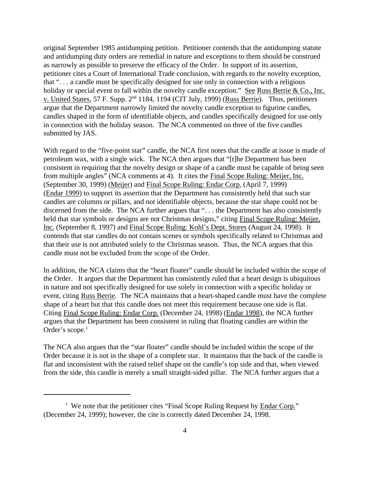original September 1985 antidumping petition. Petitioner contends that the antidumping statute and antidumping duty orders are remedial in nature and exceptions to them should be construed as narrowly as possible to preserve the efficacy of the Order. In support of its assertion, petitioner cites a Court of International Trade conclusion, with regards to the novelty exception, that ". . . a candle must be specifically designed for use only in connection with a religious holiday or special event to fall within the novelty candle exception." See Russ Berrie & Co., Inc. v. United States, 57 F. Supp. 2<sup>nd</sup> 1184, 1194 (CIT July, 1999) (Russ Berrie). Thus, petitioners argue that the Department narrowly limited the novelty candle exception to figurine candles, candles shaped in the form of identifiable objects, and candles specifically designed for use only in connection with the holiday season. The NCA commented on three of the five candles submitted by JAS.

With regard to the "five-point star" candle, the NCA first notes that the candle at issue is made of petroleum wax, with a single wick. The NCA then argues that "[t]he Department has been consistent in requiring that the novelty design or shape of a candle must be capable of being seen from multiple angles" (NCA comments at 4). It cites the Final Scope Ruling: Meijer, Inc. (September 30, 1999) (Meijer) and Final Scope Ruling: Endar Corp. (April 7, 1999) (Endar 1999) to support its assertion that the Department has consistently held that such star candles are columns or pillars, and not identifiable objects, because the star shape could not be discerned from the side. The NCA further argues that "... the Department has also consistently held that star symbols or designs are not Christmas designs," citing Final Scope Ruling: Meijer, Inc. (September 8, 1997) and Final Scope Ruling: Kohl's Dept. Stores (August 24, 1998). It contends that star candles do not contain scenes or symbols specifically related to Christmas and that their use is not attributed solely to the Christmas season. Thus, the NCA argues that this candle must not be excluded from the scope of the Order.

In addition, the NCA claims that the "heart floater" candle should be included within the scope of the Order. It argues that the Department has consistently ruled that a heart design is ubiquitous in nature and not specifically designed for use solely in connection with a specific holiday or event, citing Russ Berrie. The NCA maintains that a heart-shaped candle must have the complete shape of a heart but that this candle does not meet this requirement because one side is flat. Citing Final Scope Ruling: Endar Corp. (December 24, 1998) (Endar 1998), the NCA further argues that the Department has been consistent in ruling that floating candles are within the Order's scope.<sup>1</sup>

The NCA also argues that the "star floater" candle should be included within the scope of the Order because it is not in the shape of a complete star. It maintains that the back of the candle is flat and inconsistent with the raised relief shape on the candle's top side and that, when viewed from the side, this candle is merely a small straight-sided pillar. The NCA further argues that a

<sup>&</sup>lt;sup>1</sup> We note that the petitioner cites "Final Scope Ruling Request by Endar Corp." (December 24, 1999); however, the cite is correctly dated December 24, 1998.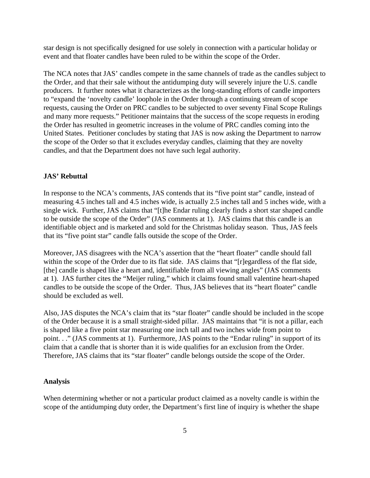star design is not specifically designed for use solely in connection with a particular holiday or event and that floater candles have been ruled to be within the scope of the Order.

The NCA notes that JAS' candles compete in the same channels of trade as the candles subject to the Order, and that their sale without the antidumping duty will severely injure the U.S. candle producers. It further notes what it characterizes as the long-standing efforts of candle importers to "expand the 'novelty candle' loophole in the Order through a continuing stream of scope requests, causing the Order on PRC candles to be subjected to over seventy Final Scope Rulings and many more requests." Petitioner maintains that the success of the scope requests in eroding the Order has resulted in geometric increases in the volume of PRC candles coming into the United States. Petitioner concludes by stating that JAS is now asking the Department to narrow the scope of the Order so that it excludes everyday candles, claiming that they are novelty candles, and that the Department does not have such legal authority.

#### **JAS' Rebuttal**

In response to the NCA's comments, JAS contends that its "five point star" candle, instead of measuring 4.5 inches tall and 4.5 inches wide, is actually 2.5 inches tall and 5 inches wide, with a single wick. Further, JAS claims that "[t]he Endar ruling clearly finds a short star shaped candle to be outside the scope of the Order" (JAS comments at 1). JAS claims that this candle is an identifiable object and is marketed and sold for the Christmas holiday season. Thus, JAS feels that its "five point star" candle falls outside the scope of the Order.

Moreover, JAS disagrees with the NCA's assertion that the "heart floater" candle should fall within the scope of the Order due to its flat side. JAS claims that "[r]egardless of the flat side, [the] candle is shaped like a heart and, identifiable from all viewing angles" (JAS comments at 1). JAS further cites the "Meijer ruling," which it claims found small valentine heart-shaped candles to be outside the scope of the Order. Thus, JAS believes that its "heart floater" candle should be excluded as well.

Also, JAS disputes the NCA's claim that its "star floater" candle should be included in the scope of the Order because it is a small straight-sided pillar. JAS maintains that "it is not a pillar, each is shaped like a five point star measuring one inch tall and two inches wide from point to point. . ." (JAS comments at 1). Furthermore, JAS points to the "Endar ruling" in support of its claim that a candle that is shorter than it is wide qualifies for an exclusion from the Order. Therefore, JAS claims that its "star floater" candle belongs outside the scope of the Order.

### **Analysis**

When determining whether or not a particular product claimed as a novelty candle is within the scope of the antidumping duty order, the Department's first line of inquiry is whether the shape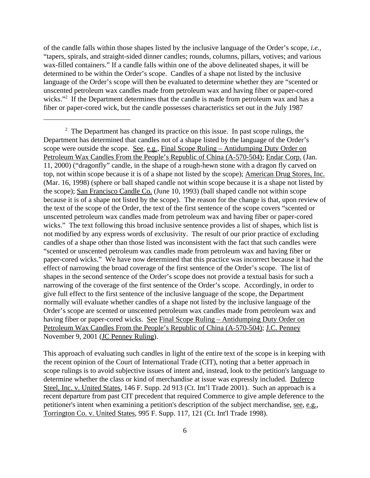of the candle falls within those shapes listed by the inclusive language of the Order's scope, *i.e.*, "tapers, spirals, and straight-sided dinner candles; rounds, columns, pillars, votives; and various wax-filled containers." If a candle falls within one of the above delineated shapes, it will be determined to be within the Order's scope. Candles of a shape not listed by the inclusive language of the Order's scope will then be evaluated to determine whether they are "scented or unscented petroleum wax candles made from petroleum wax and having fiber or paper-cored wicks."<sup>2</sup> If the Department determines that the candle is made from petroleum wax and has a fiber or paper-cored wick, but the candle possesses characteristics set out in the July 1987

This approach of evaluating such candles in light of the entire text of the scope is in keeping with the recent opinion of the Court of International Trade (CIT), noting that a better approach in scope rulings is to avoid subjective issues of intent and, instead, look to the petition's language to determine whether the class or kind of merchandise at issue was expressly included. Duferco Steel, Inc. v. United States, 146 F. Supp. 2d 913 (Ct. Int'l Trade 2001). Such an approach is a recent departure from past CIT precedent that required Commerce to give ample deference to the petitioner's intent when examining a petition's description of the subject merchandise, see, e.g., Torrington Co. v. United States, 995 F. Supp. 117, 121 (Ct. Int'l Trade 1998).

 $2<sup>2</sup>$  The Department has changed its practice on this issue. In past scope rulings, the Department has determined that candles not of a shape listed by the language of the Order's scope were outside the scope. See, e.g., Final Scope Ruling – Antidumping Duty Order on Petroleum Wax Candles From the People's Republic of China (A-570-504); Endar Corp. (Jan. 11, 2000) ("dragonfly" candle, in the shape of a rough-hewn stone with a dragon fly carved on top, not within scope because it is of a shape not listed by the scope); American Drug Stores, Inc. (Mar. 16, 1998) (sphere or ball shaped candle not within scope because it is a shape not listed by the scope); San Francisco Candle Co. (June 10, 1993) (ball shaped candle not within scope because it is of a shape not listed by the scope). The reason for the change is that, upon review of the text of the scope of the Order, the text of the first sentence of the scope covers "scented or unscented petroleum wax candles made from petroleum wax and having fiber or paper-cored wicks." The text following this broad inclusive sentence provides a list of shapes, which list is not modified by any express words of exclusivity. The result of our prior practice of excluding candles of a shape other than those listed was inconsistent with the fact that such candles were "scented or unscented petroleum wax candles made from petroleum wax and having fiber or paper-cored wicks." We have now determined that this practice was incorrect because it had the effect of narrowing the broad coverage of the first sentence of the Order's scope. The list of shapes in the second sentence of the Order's scope does not provide a textual basis for such a narrowing of the coverage of the first sentence of the Order's scope. Accordingly, in order to give full effect to the first sentence of the inclusive language of the scope, the Department normally will evaluate whether candles of a shape not listed by the inclusive language of the Order's scope are scented or unscented petroleum wax candles made from petroleum wax and having fiber or paper-cored wicks. See Final Scope Ruling – Antidumping Duty Order on Petroleum Wax Candles From the People's Republic of China (A-570-504); J.C. Penney November 9, 2001 (JC Penney Ruling).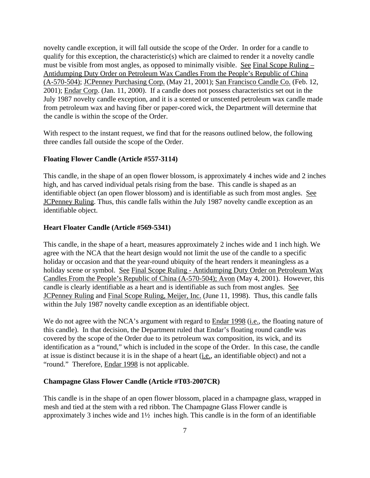novelty candle exception, it will fall outside the scope of the Order. In order for a candle to qualify for this exception, the characteristic(s) which are claimed to render it a novelty candle must be visible from most angles, as opposed to minimally visible. See Final Scope Ruling – Antidumping Duty Order on Petroleum Wax Candles From the People's Republic of China (A-570-504); JCPenney Purchasing Corp. (May 21, 2001); San Francisco Candle Co. (Feb. 12, 2001); Endar Corp. (Jan. 11, 2000). If a candle does not possess characteristics set out in the July 1987 novelty candle exception, and it is a scented or unscented petroleum wax candle made from petroleum wax and having fiber or paper-cored wick, the Department will determine that the candle is within the scope of the Order.

With respect to the instant request, we find that for the reasons outlined below, the following three candles fall outside the scope of the Order.

#### **Floating Flower Candle (Article #557-3114)**

This candle, in the shape of an open flower blossom, is approximately 4 inches wide and 2 inches high, and has carved individual petals rising from the base. This candle is shaped as an identifiable object (an open flower blossom) and is identifiable as such from most angles. See JCPenney Ruling. Thus, this candle falls within the July 1987 novelty candle exception as an identifiable object.

#### **Heart Floater Candle (Article #569-5341)**

This candle, in the shape of a heart, measures approximately 2 inches wide and 1 inch high. We agree with the NCA that the heart design would not limit the use of the candle to a specific holiday or occasion and that the year-round ubiquity of the heart renders it meaningless as a holiday scene or symbol. See Final Scope Ruling - Antidumping Duty Order on Petroleum Wax Candles From the People's Republic of China (A-570-504); Avon (May 4, 2001). However, this candle is clearly identifiable as a heart and is identifiable as such from most angles. See JCPenney Ruling and Final Scope Ruling, Meijer, Inc. (June 11, 1998). Thus, this candle falls within the July 1987 novelty candle exception as an identifiable object.

We do not agree with the NCA's argument with regard to **Endar 1998** (*i.e.*, the floating nature of this candle). In that decision, the Department ruled that Endar's floating round candle was covered by the scope of the Order due to its petroleum wax composition, its wick, and its identification as a "round," which is included in the scope of the Order. In this case, the candle at issue is distinct because it is in the shape of a heart (i.e., an identifiable object) and not a "round." Therefore, **Endar 1998** is not applicable.

#### **Champagne Glass Flower Candle (Article #T03-2007CR)**

This candle is in the shape of an open flower blossom, placed in a champagne glass, wrapped in mesh and tied at the stem with a red ribbon. The Champagne Glass Flower candle is approximately 3 inches wide and 1½ inches high. This candle is in the form of an identifiable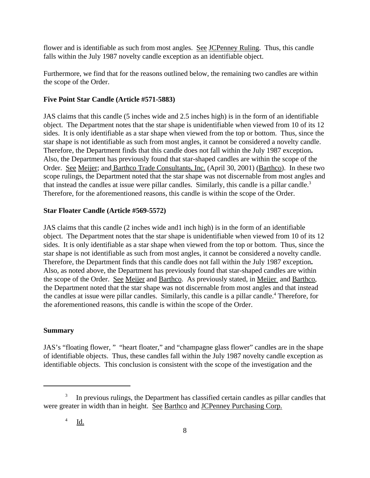flower and is identifiable as such from most angles. See JCPenney Ruling. Thus, this candle falls within the July 1987 novelty candle exception as an identifiable object.

Furthermore, we find that for the reasons outlined below, the remaining two candles are within the scope of the Order.

# **Five Point Star Candle (Article #571-5883)**

JAS claims that this candle (5 inches wide and 2.5 inches high) is in the form of an identifiable object. The Department notes that the star shape is unidentifiable when viewed from 10 of its 12 sides. It is only identifiable as a star shape when viewed from the top or bottom. Thus, since the star shape is not identifiable as such from most angles, it cannot be considered a novelty candle. Therefore, the Department finds that this candle does not fall within the July 1987 exception**.**  Also, the Department has previously found that star-shaped candles are within the scope of the Order. See Meijer; and Barthco Trade Consultants, Inc. (April 30, 2001) (Barthco). In these two scope rulings, the Department noted that the star shape was not discernable from most angles and that instead the candles at issue were pillar candles. Similarly, this candle is a pillar candle.<sup>3</sup> Therefore, for the aforementioned reasons, this candle is within the scope of the Order.

## **Star Floater Candle (Article #569-5572)**

JAS claims that this candle (2 inches wide and1 inch high) is in the form of an identifiable object. The Department notes that the star shape is unidentifiable when viewed from 10 of its 12 sides. It is only identifiable as a star shape when viewed from the top or bottom. Thus, since the star shape is not identifiable as such from most angles, it cannot be considered a novelty candle. Therefore, the Department finds that this candle does not fall within the July 1987 exception**.**  Also, as noted above, the Department has previously found that star-shaped candles are within the scope of the Order. See Meijer and Barthco. As previously stated, in Meijer and Barthco, the Department noted that the star shape was not discernable from most angles and that instead the candles at issue were pillar candles. Similarly, this candle is a pillar candle.<sup>4</sup> Therefore, for the aforementioned reasons, this candle is within the scope of the Order.

# **Summary**

JAS's "floating flower, " "heart floater," and "champagne glass flower" candles are in the shape of identifiable objects. Thus, these candles fall within the July 1987 novelty candle exception as identifiable objects. This conclusion is consistent with the scope of the investigation and the

<sup>3</sup> In previous rulings, the Department has classified certain candles as pillar candles that were greater in width than in height. See Barthco and JCPenney Purchasing Corp.

<sup>4</sup> Id.